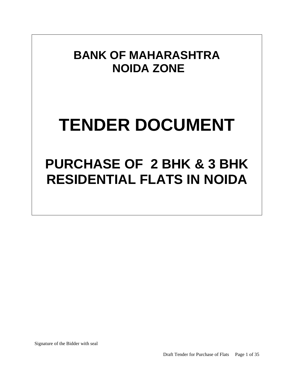## **BANK OF MAHARASHTRA NOIDA ZONE**

# **TENDER DOCUMENT**

## **PURCHASE OF 2 BHK & 3 BHK RESIDENTIAL FLATS IN NOIDA**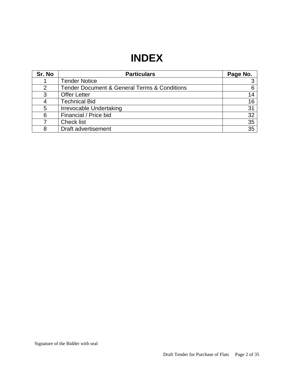### **INDEX**

| Sr. No | <b>Particulars</b>                                          | Page No. |
|--------|-------------------------------------------------------------|----------|
|        | <b>Tender Notice</b>                                        |          |
|        | <b>Tender Document &amp; General Terms &amp; Conditions</b> |          |
| 3      | <b>Offer Letter</b>                                         | 14       |
|        | <b>Technical Bid</b>                                        | 16       |
| 5      | Irrevocable Undertaking                                     | 31       |
| 6      | Financial / Price bid                                       | 32       |
|        | <b>Check list</b>                                           | 35       |
| 8      | Draft advertisement                                         | 35       |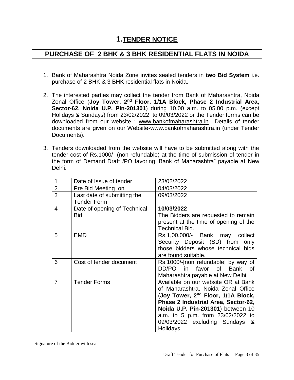#### **1.TENDER NOTICE**

#### **PURCHASE OF 2 BHK & 3 BHK RESIDENTIAL FLATS IN NOIDA**

- 1. Bank of Maharashtra Noida Zone invites sealed tenders in **two Bid System** i.e. purchase of 2 BHK & 3 BHK residential flats in Noida.
- 2. The interested parties may collect the tender from Bank of Maharashtra, Noida Zonal Office (**Joy Tower, 2nd Floor, 1/1A Block, Phase 2 Industrial Area, Sector-62, Noida U.P. Pin-201301**) during 10.00 a.m. to 05.00 p.m. (except Holidays & Sundays) from 23/02/2022 to 09/03/2022 or the Tender forms can be downloaded from our website : [www.bankofmaharashtra.in](http://www.bankofmaharashtra.in/) Details of tender documents are given on our Website-www.bankofmaharashtra.in (under Tender Documents).
- 3. Tenders downloaded from the website will have to be submitted along with the tender cost of Rs.1000/- (non-refundable) at the time of submission of tender in the form of Demand Draft /PO favoring 'Bank of Maharashtra" payable at New Delhi.

| 1              | Date of Issue of tender                           | 23/02/2022                                                                                                                                                                                                                                                                                  |
|----------------|---------------------------------------------------|---------------------------------------------------------------------------------------------------------------------------------------------------------------------------------------------------------------------------------------------------------------------------------------------|
| $\overline{2}$ | Pre Bid Meeting on                                | 04/03/2022                                                                                                                                                                                                                                                                                  |
| 3              | Last date of submitting the<br><b>Tender Form</b> | 09/03/2022                                                                                                                                                                                                                                                                                  |
| 4              | Date of opening of Technical<br><b>Bid</b>        | 10/03/2022<br>The Bidders are requested to remain<br>present at the time of opening of the<br><b>Technical Bid.</b>                                                                                                                                                                         |
| 5              | <b>EMD</b>                                        | Rs.1,00,000/- Bank may<br>collect<br>Security Deposit (SD) from<br>only<br>those bidders whose technical bids<br>are found suitable.                                                                                                                                                        |
| 6              | Cost of tender document                           | Rs.1000/-[non refundable] by way of<br>favor of Bank of<br>DD/PO in<br>Maharashtra payable at New Delhi.                                                                                                                                                                                    |
| 7              | <b>Tender Forms</b>                               | Available on our website OR at Bank<br>of Maharashtra, Noida Zonal Office<br>(Joy Tower, 2 <sup>nd</sup> Floor, 1/1A Block,<br>Phase 2 Industrial Area, Sector-62,<br>Noida U.P. Pin-201301) between 10<br>a.m. to 5 p.m. from 23/02/2022 to<br>09/03/2022 excluding Sundays &<br>Holidays. |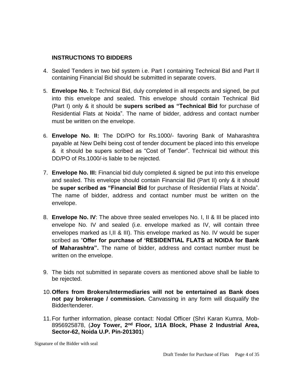#### **INSTRUCTIONS TO BIDDERS**

- 4. Sealed Tenders in two bid system i.e. Part I containing Technical Bid and Part II containing Financial Bid should be submitted in separate covers.
- 5. **Envelope No. I:** Technical Bid, duly completed in all respects and signed, be put into this envelope and sealed. This envelope should contain Technical Bid (Part I) only & it should be **supers scribed as "Technical Bid** for purchase of Residential Flats at Noida". The name of bidder, address and contact number must be written on the envelope.
- 6. **Envelope No. II:** The DD/PO for Rs.1000/- favoring Bank of Maharashtra payable at New Delhi being cost of tender document be placed into this envelope & it should be supers scribed as "Cost of Tender". Technical bid without this DD/PO of Rs.1000/-is liable to be rejected.
- 7. **Envelope No. III:** Financial bid duly completed & signed be put into this envelope and sealed. This envelope should contain Financial Bid (Part II) only & it should be **super scribed as "Financial Bid** for purchase of Residential Flats at Noida". The name of bidder, address and contact number must be written on the envelope.
- 8. **Envelope No. IV**: The above three sealed envelopes No. I, II & III be placed into envelope No. IV and sealed (i.e. envelope marked as IV, will contain three envelopes marked as I,II & III). This envelope marked as No. IV would be super scribed as "**Offer for purchase of 'RESIDENTIAL FLATS at NOIDA for Bank of Maharashtra".** The name of bidder, address and contact number must be written on the envelope.
- 9. The bids not submitted in separate covers as mentioned above shall be liable to be rejected.
- 10.**Offers from Brokers/Intermediaries will not be entertained as Bank does not pay brokerage / commission.** Canvassing in any form will disqualify the Bidder/tenderer.
- 11.For further information, please contact: Nodal Officer (Shri Karan Kumra, Mob-8956925878, (**Joy Tower, 2nd Floor, 1/1A Block, Phase 2 Industrial Area, Sector-62, Noida U.P. Pin-201301**)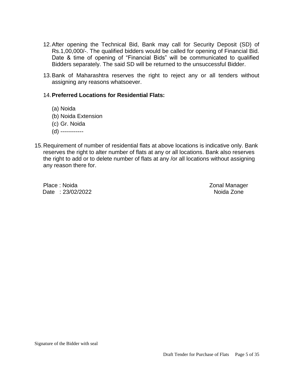- 12.After opening the Technical Bid, Bank may call for Security Deposit (SD) of Rs.1,00,000/-. The qualified bidders would be called for opening of Financial Bid. Date & time of opening of "Financial Bids" will be communicated to qualified Bidders separately. The said SD will be returned to the unsuccessful Bidder.
- 13.Bank of Maharashtra reserves the right to reject any or all tenders without assigning any reasons whatsoever.

#### 14.**Preferred Locations for Residential Flats:**

- (a) Noida
- (b) Noida Extension
- (c) Gr. Noida
- (d) ------------
- 15.Requirement of number of residential flats at above locations is indicative only. Bank reserves the right to alter number of flats at any or all locations. Bank also reserves the right to add or to delete number of flats at any /or all locations without assigning any reason there for.

Place : Noida **Zonal Manager** Date : 23/02/2022 **Noida Zone**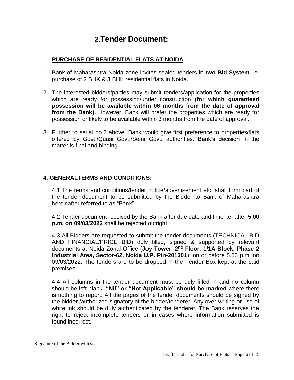#### **2.Tender Document:**

#### **PURCHASE OF RESIDENTIAL FLATS AT NOIDA**

- 1. Bank of Maharashtra Noida zone invites sealed tenders in **two Bid System** i.e. purchase of 2 BHK & 3 BHK residential flats in Noida.
- 2. The interested bidders/parties may submit tenders/application for the properties which are ready for possession/under construction **(for which guaranteed possession will be available within 06 months from the date of approval from the Bank).** However, Bank will prefer the properties which are ready for possession or likely to be available within 3 months from the date of approval.
- 3. Further to serial no.2 above, Bank would give first preference to properties/flats offered by Govt./Quasi Govt./Semi Govt. authorities. Bank's decision in the matter is final and binding.

#### **4. GENERALTERMS AND CONDITIONS:**

4.1 The terms and conditions/tender notice/advertisement etc. shall form part of the tender document to be submitted by the Bidder to Bank of Maharashtra hereinafter referred to as "Bank".

4.2 Tender document received by the Bank after due date and time i.e. after **5.00 p.m. on 09/03/2022** shall be rejected outright.

4.3 All Bidders are requested to submit the tender documents (TECHNICAL BID AND FINANCIAL/PRICE BID) duly filled, signed & supported by relevant documents at Noida Zonal Office (**Joy Tower, 2nd Floor, 1/1A Block, Phase 2 Industrial Area, Sector-62, Noida U.P. Pin-201301**) on or before 5.00 p.m. on 09/03/2022. The tenders are to be dropped in the Tender Box kept at the said premises.

4.4 All columns in the tender document must be duly filled in and no column should be left blank. **"Nil" or "Not Applicable" should be marked** where there is nothing to report. All the pages of the tender documents should be signed by the bidder /authorized signatory of the bidder/tenderer. Any over-writing or use of white ink should be duly authenticated by the tenderer. The Bank reserves the right to reject incomplete tenders or in cases where information submitted is found incorrect.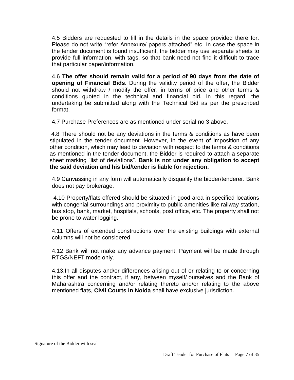4.5 Bidders are requested to fill in the details in the space provided there for. Please do not write "refer Annexure/ papers attached" etc. In case the space in the tender document is found insufficient, the bidder may use separate sheets to provide full information, with tags, so that bank need not find it difficult to trace that particular paper/information.

4.6 **The offer should remain valid for a period of 90 days from the date of opening of Financial Bids.** During the validity period of the offer, the Bidder should not withdraw / modify the offer, in terms of price and other terms & conditions quoted in the technical and financial bid. In this regard, the undertaking be submitted along with the Technical Bid as per the prescribed format.

4.7 Purchase Preferences are as mentioned under serial no 3 above.

4.8 There should not be any deviations in the terms & conditions as have been stipulated in the tender document. However, in the event of imposition of any other condition, which may lead to deviation with respect to the terms & conditions as mentioned in the tender document, the Bidder is required to attach a separate sheet marking "list of deviations". **Bank is not under any obligation to accept the said deviation and his bid/tender is liable for rejection.**

4.9 Canvassing in any form will automatically disqualify the bidder/tenderer. Bank does not pay brokerage.

4.10 Property/flats offered should be situated in good area in specified locations with congenial surroundings and proximity to public amenities like railway station, bus stop, bank, market, hospitals, schools, post office, etc. The property shall not be prone to water logging.

4.11 Offers of extended constructions over the existing buildings with external columns will not be considered.

4.12 Bank will not make any advance payment. Payment will be made through RTGS/NEFT mode only.

4.13.In all disputes and/or differences arising out of or relating to or concerning this offer and the contract, if any, between myself/ ourselves and the Bank of Maharashtra concerning and/or relating thereto and/or relating to the above mentioned flats, **Civil Courts in Noida** shall have exclusive jurisdiction.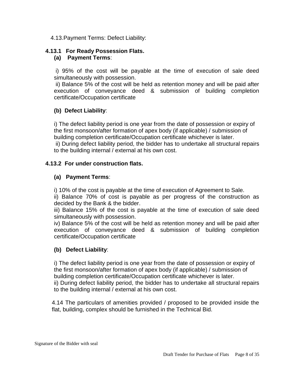4.13.Payment Terms: Defect Liability:

#### **4.13.1 For Ready Possession Flats.**

#### **(a) Payment Terms**:

i) 95% of the cost will be payable at the time of execution of sale deed simultaneously with possession.

ii) Balance 5% of the cost will be held as retention money and will be paid after execution of conveyance deed & submission of building completion certificate/Occupation certificate

#### **(b) Defect Liability**:

i) The defect liability period is one year from the date of possession or expiry of the first monsoon/after formation of apex body (if applicable) / submission of building completion certificate/Occupation certificate whichever is later. ii) During defect liability period, the bidder has to undertake all structural repairs to the building internal / external at his own cost.

#### **4.13.2 For under construction flats.**

#### **(a) Payment Terms**:

i) 10% of the cost is payable at the time of execution of Agreement to Sale.

ii) Balance 70% of cost is payable as per progress of the construction as decided by the Bank & the bidder.

iii) Balance 15% of the cost is payable at the time of execution of sale deed simultaneously with possession.

iv) Balance 5% of the cost will be held as retention money and will be paid after execution of conveyance deed & submission of building completion certificate/Occupation certificate

#### **(b) Defect Liability**:

i) The defect liability period is one year from the date of possession or expiry of the first monsoon/after formation of apex body (if applicable) / submission of building completion certificate/Occupation certificate whichever is later. ii) During defect liability period, the bidder has to undertake all structural repairs to the building internal / external at his own cost.

4.14 The particulars of amenities provided / proposed to be provided inside the flat, building, complex should be furnished in the Technical Bid.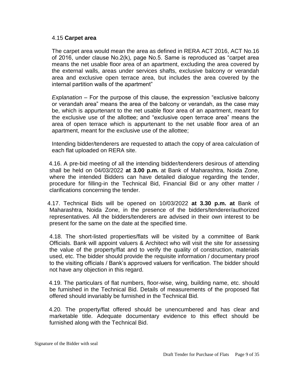#### 4.15 **Carpet area**

The carpet area would mean the area as defined in RERA ACT 2016, ACT No.16 of 2016, under clause No.2(k), page No.5. Same is reproduced as "carpet area means the net usable floor area of an apartment, excluding the area covered by the external walls, areas under services shafts, exclusive balcony or verandah area and exclusive open terrace area, but includes the area covered by the internal partition walls of the apartment"

*Explanation* – For the purpose of this clause, the expression "exclusive balcony or verandah area" means the area of the balcony or verandah, as the case may be, which is appurtenant to the net usable floor area of an apartment, meant for the exclusive use of the allottee; and "exclusive open terrace area" means the area of open terrace which is appurtenant to the net usable floor area of an apartment, meant for the exclusive use of the allottee;

Intending bidder/tenderers are requested to attach the copy of area calculation of each flat uploaded on RERA site.

 4.16. A pre-bid meeting of all the intending bidder/tenderers desirous of attending shall be held on 04/03/2022 **at 3.00 p.m.** at Bank of Maharashtra, Noida Zone, where the intended Bidders can have detailed dialogue regarding the tender, procedure for filling-in the Technical Bid, Financial Bid or any other matter / clarifications concerning the tender.

 4.17. Technical Bids will be opened on 10/03/2022 **at 3.30 p.m. at** Bank of Maharashtra, Noida Zone, in the presence of the bidders/tenderer/authorized representatives. All the bidders/tenderers are advised in their own interest to be present for the same on the date at the specified time.

4.18. The short-listed properties/flats will be visited by a committee of Bank Officials. Bank will appoint valuers & Architect who will visit the site for assessing the value of the property/flat and to verify the quality of construction, materials used, etc. The bidder should provide the requisite information / documentary proof to the visiting officials / Bank's approved valuers for verification. The bidder should not have any objection in this regard.

 4.19. The particulars of flat numbers, floor-wise, wing, building name, etc. should be furnished in the Technical Bid. Details of measurements of the proposed flat offered should invariably be furnished in the Technical Bid.

 4.20. The property/flat offered should be unencumbered and has clear and marketable title. Adequate documentary evidence to this effect should be furnished along with the Technical Bid.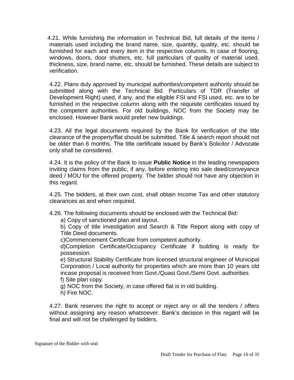4.21. While furnishing the information in Technical Bid, full details of the items / materials used including the brand name, size, quantity, quality, etc. should be furnished for each and every item in the respective columns. In case of flooring, windows, doors, door shutters, etc. full particulars of quality of material used, thickness, size, brand name, etc. should be furnished. These details are subject to verification.

4.22. Plans duly approved by municipal authorities/competent authority should be submitted along with the Technical Bid. Particulars of TDR (Transfer of Development Right) used, if any, and the eligible FSI and FSI used, etc. are to be furnished in the respective column along with the requisite certificates issued by the competent authorities. For old buildings, NOC from the Society may be enclosed. However Bank would prefer new buildings.

4.23. All the legal documents required by the Bank for verification of the title clearance of the property/flat should be submitted. Title & search report should not be older than 6 months. The title certificate issued by Bank's Solicitor / Advocate only shall be considered.

4.24. It is the policy of the Bank to issue **Public Notice** in the leading newspapers inviting claims from the public, if any, before entering into sale deed/conveyance deed / MOU for the offered property. The bidder should not have any objection in this regard.

4.25. The bidders, at their own cost, shall obtain Income Tax and other statutory clearances as and when required.

4.26. The following documents should be enclosed with the Technical Bid:

a) Copy of sanctioned plan and layout.

b) Copy of title investigation and Search & Title Report along with copy of Title Deed documents.

c)Commencement Certificate from competent authority.

d)Completion Certificate/Occupancy Certificate if building is ready for possession.

e) Structural Stability Certificate from licensed structural engineer of Municipal Corporation / Local authority for properties which are more than 10 years old incase proposal is received from Govt./Quasi Govt./Semi Govt. authorities f) Site plan copy.

g) NOC from the Society, in case offered flat is in old building.

h) Fire NOC.

4.27. Bank reserves the right to accept or reject any or all the tenders / offers without assigning any reason whatsoever. Bank's decision in this regard will be final and will not be challenged by bidders.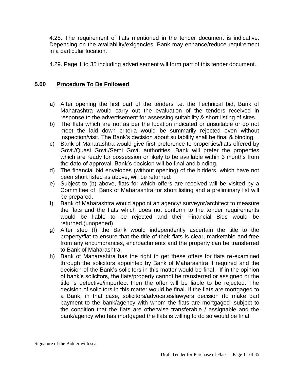4.28. The requirement of flats mentioned in the tender document is indicative. Depending on the availability/exigencies, Bank may enhance/reduce requirement in a particular location.

4.29. Page 1 to 35 including advertisement will form part of this tender document.

#### **5.00 Procedure To Be Followed**

- a) After opening the first part of the tenders i.e. the Technical bid, Bank of Maharashtra would carry out the evaluation of the tenders received in response to the advertisement for assessing suitability & short listing of sites.
- b) The flats which are not as per the location indicated or unsuitable or do not meet the laid down criteria would be summarily rejected even without inspection/visit. The Bank's decision about suitability shall be final & binding.
- c) Bank of Maharashtra would give first preference to properties/flats offered by Govt./Quasi Govt./Semi Govt. authorities. Bank will prefer the properties which are ready for possession or likely to be available within 3 months from the date of approval. Bank's decision will be final and binding.
- d) The financial bid envelopes (without opening) of the bidders, which have not been short listed as above, will be returned.
- e) Subject to (b) above, flats for which offers are received will be visited by a Committee of Bank of Maharashtra for short listing and a preliminary list will be prepared.
- f) Bank of Maharashtra would appoint an agency/ surveyor/architect to measure the flats and the flats which does not conform to the tender requirements would be liable to be rejected and their Financial Bids would be returned.(unopened)
- g) After step (f) the Bank would independently ascertain the title to the property/flat to ensure that the title of their flats is clear, marketable and free from any encumbrances, encroachments and the property can be transferred to Bank of Maharashtra.
- h) Bank of Maharashtra has the right to get these offers for flats re-examined through the solicitors appointed by Bank of Maharashtra if required and the decision of the Bank's solicitors in this matter would be final. If in the opinion of bank's solicitors, the flats/property cannot be transferred or assigned or the title is defective/imperfect then the offer will be liable to be rejected. The decision of solicitors in this matter would be final. If the flats are mortgaged to a Bank, in that case, solicitors/advocates/lawyers decision (to make part payment to the bank/agency with whom the flats are mortgaged ,subject to the condition that the flats are otherwise transferable / assignable and the bank/agency who has mortgaged the flats is willing to do so would be final.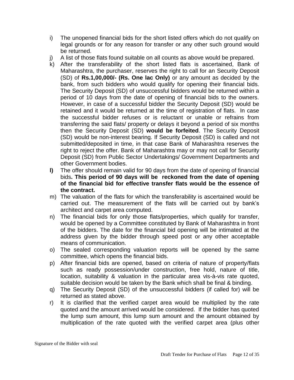- i) The unopened financial bids for the short listed offers which do not qualify on legal grounds or for any reason for transfer or any other such ground would be returned.
- j) A list of those flats found suitable on all counts as above would be prepared.
- k) After the transferability of the short listed flats is ascertained, Bank of Maharashtra, the purchaser, reserves the right to call for an Security Deposit (SD) of **Rs.1,00,000/- (Rs. One lac Only)** or any amount as decided by the bank, from such bidders who would qualify for opening their financial bids. The Security Deposit (SD) of unsuccessful bidders would be returned within a period of 10 days from the date of opening of financial bids to the owners. However, in case of a successful bidder the Security Deposit (SD) would be retained and it would be returned at the time of registration of flats. In case the successful bidder refuses or is reluctant or unable or refrains from transferring the said flats/ property or delays it beyond a period of six months then the Security Deposit (SD) **would be forfeited**. The Security Deposit (SD) would be non-interest bearing. If Security Deposit (SD) is called and not submitted/deposited in time, in that case Bank of Maharashtra reserves the right to reject the offer. Bank of Maharashtra may or may not call for Security Deposit (SD) from Public Sector Undertakings/ Government Departments and other Government bodies.
- **l)** The offer should remain valid for 90 days from the date of opening of financial bids**. This period of 90 days will be reckoned from the date of opening of the financial bid for effective transfer flats would be the essence of the contract.**
- m) The valuation of the flats for which the transferability is ascertained would be carried out. The measurement of the flats will be carried out by bank's architect and carpet area computed.
- n) The financial bids for only those flats/properties, which qualify for transfer, would be opened by a Committee constituted by Bank of Maharashtra in front of the bidders. The date for the financial bid opening will be intimated at the address given by the bidder through speed post or any other acceptable means of communication.
- o) The sealed corresponding valuation reports will be opened by the same committee, which opens the financial bids.
- p) After financial bids are opened, based on criteria of nature of property/flats such as ready possession/under construction, free hold, nature of title, location, suitability & valuation in the particular area vis-à-vis rate quoted, suitable decision would be taken by the Bank which shall be final & binding.
- q) The Security Deposit (SD) of the unsuccessful bidders (if called for) will be returned as stated above.
- r) It is clarified that the verified carpet area would be multiplied by the rate quoted and the amount arrived would be considered. If the bidder has quoted the lump sum amount, this lump sum amount and the amount obtained by multiplication of the rate quoted with the verified carpet area (plus other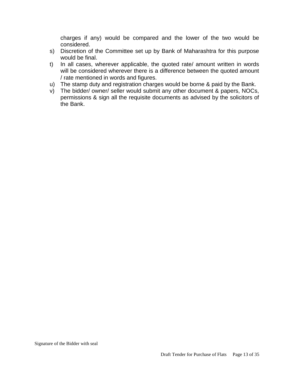charges if any) would be compared and the lower of the two would be considered.

- s) Discretion of the Committee set up by Bank of Maharashtra for this purpose would be final.
- t) In all cases, wherever applicable, the quoted rate/ amount written in words will be considered wherever there is a difference between the quoted amount / rate mentioned in words and figures.
- u) The stamp duty and registration charges would be borne & paid by the Bank.
- v) The bidder/ owner/ seller would submit any other document & papers, NOCs, permissions & sign all the requisite documents as advised by the solicitors of the Bank.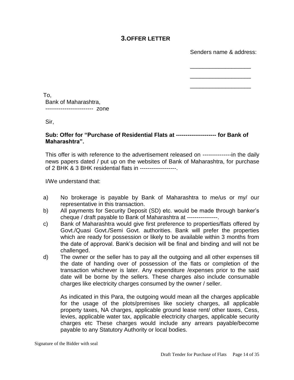#### **3.OFFER LETTER**

Senders name & address:

\_\_\_\_\_\_\_\_\_\_\_\_\_\_\_\_\_\_\_ \_\_\_\_\_\_\_\_\_\_\_\_\_\_\_\_\_\_\_

\_\_\_\_\_\_\_\_\_\_\_\_\_\_\_\_\_\_\_

To, Bank of Maharashtra, ------------------------- zone

Sir,

#### **Sub: Offer for "Purchase of Residential Flats at --------------------- for Bank of Maharashtra".**

This offer is with reference to the advertisement released on ---------------in the daily news papers dated / put up on the websites of Bank of Maharashtra, for purchase of 2 BHK & 3 BHK residential flats in -------------------.

I/We understand that:

- a) No brokerage is payable by Bank of Maharashtra to me/us or my/ our representative in this transaction.
- b) All payments for Security Deposit (SD) etc. would be made through banker's cheque / draft payable to Bank of Maharashtra at ----------------.
- c) Bank of Maharashtra would give first preference to properties/flats offered by Govt./Quasi Govt./Semi Govt. authorities. Bank will prefer the properties which are ready for possession or likely to be available within 3 months from the date of approval. Bank's decision will be final and binding and will not be challenged.
- d) The owner or the seller has to pay all the outgoing and all other expenses till the date of handing over of possession of the flats or completion of the transaction whichever is later. Any expenditure /expenses prior to the said date will be borne by the sellers. These charges also include consumable charges like electricity charges consumed by the owner / seller.

As indicated in this Para, the outgoing would mean all the charges applicable for the usage of the plots/premises like society charges, all applicable property taxes, NA charges, applicable ground lease rent/ other taxes, Cess, levies, applicable water tax, applicable electricity charges, applicable security charges etc These charges would include any arrears payable/become payable to any Statutory Authority or local bodies.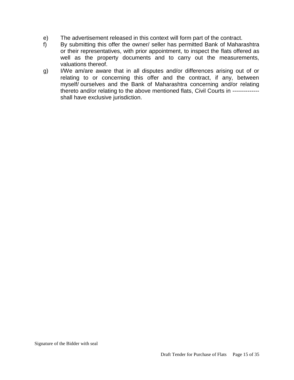- e) The advertisement released in this context will form part of the contract.
- f) By submitting this offer the owner/ seller has permitted Bank of Maharashtra or their representatives, with prior appointment, to inspect the flats offered as well as the property documents and to carry out the measurements, valuations thereof.
- g) I/We am/are aware that in all disputes and/or differences arising out of or relating to or concerning this offer and the contract, if any, between myself/ ourselves and the Bank of Maharashtra concerning and/or relating thereto and/or relating to the above mentioned flats, Civil Courts in ------------- shall have exclusive jurisdiction.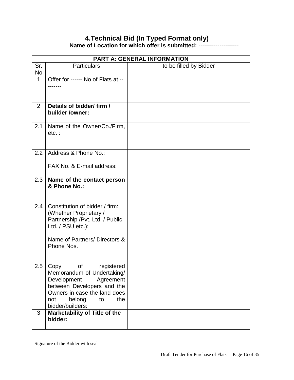#### **4.Technical Bid (In Typed Format only) Name of Location for which offer is submitted:** ---------------------

|             |                                                                                                                                                                                                    | <b>PART A: GENERAL INFORMATION</b> |
|-------------|----------------------------------------------------------------------------------------------------------------------------------------------------------------------------------------------------|------------------------------------|
| Sr.<br>No   | <b>Particulars</b>                                                                                                                                                                                 | to be filled by Bidder             |
| $\mathbf 1$ | Offer for ------ No of Flats at --                                                                                                                                                                 |                                    |
| 2           | Details of bidder/ firm /<br>builder /owner:                                                                                                                                                       |                                    |
| 2.1         | Name of the Owner/Co./Firm,<br>$etc.$ :                                                                                                                                                            |                                    |
| 2.2         | Address & Phone No.:                                                                                                                                                                               |                                    |
|             | FAX No. & E-mail address:                                                                                                                                                                          |                                    |
| 2.3         | Name of the contact person<br>& Phone No.:                                                                                                                                                         |                                    |
| 2.4         | Constitution of bidder / firm:<br>(Whether Proprietary /<br>Partnership /Pvt. Ltd. / Public<br>Ltd. / PSU etc.):                                                                                   |                                    |
|             | Name of Partners/ Directors &<br>Phone Nos.                                                                                                                                                        |                                    |
| 2.5         | οf<br>registered<br>Copy<br>Memorandum of Undertaking/<br>Development<br>Agreement<br>between Developers and the<br>Owners in case the land does<br>belong<br>the<br>not<br>to<br>bidder/builders: |                                    |
| 3           | Marketability of Title of the<br>bidder:                                                                                                                                                           |                                    |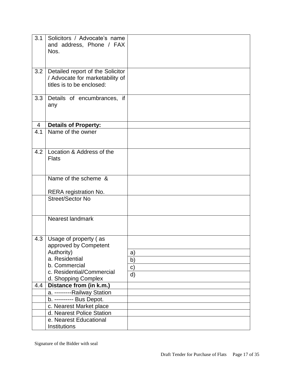| 3.1 | Solicitors / Advocate's name<br>and address, Phone / FAX<br>Nos.                                                                                    |                      |
|-----|-----------------------------------------------------------------------------------------------------------------------------------------------------|----------------------|
| 3.2 | Detailed report of the Solicitor<br>/ Advocate for marketability of<br>titles is to be enclosed:                                                    |                      |
| 3.3 | Details of encumbrances, if<br>any                                                                                                                  |                      |
| 4   | <b>Details of Property:</b>                                                                                                                         |                      |
| 4.1 | Name of the owner                                                                                                                                   |                      |
| 4.2 | Location & Address of the<br><b>Flats</b>                                                                                                           |                      |
|     | Name of the scheme &                                                                                                                                |                      |
|     | <b>RERA</b> registration No.                                                                                                                        |                      |
|     | Street/Sector No                                                                                                                                    |                      |
|     | Nearest landmark                                                                                                                                    |                      |
| 4.3 | Usage of property (as<br>approved by Competent<br>Authority)<br>a. Residential<br>b. Commercial<br>c. Residential/Commercial<br>d. Shopping Complex | a)<br>b)<br>c)<br>d) |
| 4.4 | Distance from (in k.m.)                                                                                                                             |                      |
|     | a. ---------Railway Station                                                                                                                         |                      |
|     | b. ---------- Bus Depot.                                                                                                                            |                      |
|     | c. Nearest Market place                                                                                                                             |                      |
|     | d. Nearest Police Station                                                                                                                           |                      |
|     | e. Nearest Educational                                                                                                                              |                      |
|     | Institutions                                                                                                                                        |                      |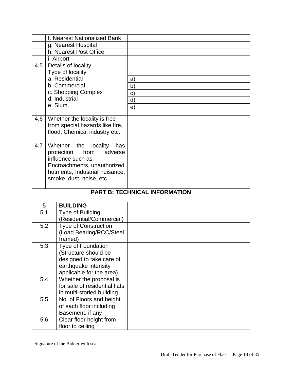|                  | f. Nearest Nationalized Bank                     |                                      |
|------------------|--------------------------------------------------|--------------------------------------|
|                  | g. Nearest Hospital                              |                                      |
|                  | h. Nearest Post Office                           |                                      |
|                  | i. Airport                                       |                                      |
| 4.5              | Details of locality -                            |                                      |
|                  | Type of locality                                 |                                      |
|                  | a. Residential                                   | a)                                   |
|                  | b. Commercial                                    | b)                                   |
|                  | c. Shopping Complex                              | C)                                   |
|                  | d. Industrial                                    | d)                                   |
|                  | e. Slum                                          | e)                                   |
|                  |                                                  |                                      |
| 4.6              | Whether the locality is free                     |                                      |
|                  | from special hazards like fire,                  |                                      |
|                  | flood, Chemical industry etc.                    |                                      |
|                  |                                                  |                                      |
| 4.7 <sub>l</sub> | Whether the<br>locality<br>has                   |                                      |
|                  | from<br>protection<br>adverse                    |                                      |
|                  | influence such as                                |                                      |
|                  | Encroachments, unauthorized                      |                                      |
|                  | hutments, Industrial nuisance,                   |                                      |
|                  | smoke, dust, noise, etc.                         |                                      |
|                  |                                                  |                                      |
|                  |                                                  |                                      |
|                  |                                                  | <b>PART B: TECHNICAL INFORMATION</b> |
| 5                | <b>BUILDING</b>                                  |                                      |
| 5.1              |                                                  |                                      |
|                  | Type of Building:<br>(Residential/Commercial)    |                                      |
| 5.2              |                                                  |                                      |
|                  | <b>Type of Construction</b>                      |                                      |
|                  | (Load Bearing/RCC/Steel<br>framed)               |                                      |
| 5.3              | <b>Type of Foundation</b>                        |                                      |
|                  |                                                  |                                      |
|                  | (Structure should be<br>designed to take care of |                                      |
|                  | earthquake intensity                             |                                      |
|                  | applicable for the area)                         |                                      |
| 5.4              | Whether the proposal is                          |                                      |
|                  | for sale of residential flats                    |                                      |
|                  | in multi-storied building.                       |                                      |
| 5.5              | No. of Floors and height                         |                                      |
|                  | of each floor including                          |                                      |
|                  | Basement, if any                                 |                                      |
| 5.6              | Clear floor height from                          |                                      |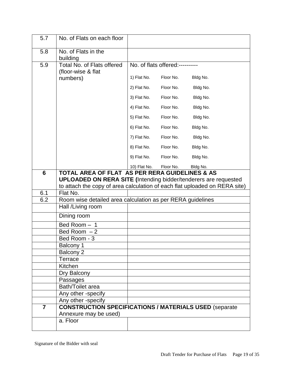| 5.7            | No. of Flats on each floor                                                                                                          |              |                                 |          |
|----------------|-------------------------------------------------------------------------------------------------------------------------------------|--------------|---------------------------------|----------|
| 5.8            | No. of Flats in the<br>building                                                                                                     |              |                                 |          |
| 5.9            | Total No. of Flats offered<br>(floor-wise & flat                                                                                    |              | No. of flats offered:---------- |          |
|                | numbers)                                                                                                                            | 1) Flat No.  | Floor No.                       | Bldg No. |
|                |                                                                                                                                     | 2) Flat No.  | Floor No.                       | Bldg No. |
|                |                                                                                                                                     | 3) Flat No.  | Floor No.                       | Bldg No. |
|                |                                                                                                                                     | 4) Flat No.  | Floor No.                       | Bldg No. |
|                |                                                                                                                                     | 5) Flat No.  | Floor No.                       | Bldg No. |
|                |                                                                                                                                     | 6) Flat No.  | Floor No.                       | Bldg No. |
|                |                                                                                                                                     | 7) Flat No.  | Floor No.                       | Bldg No. |
|                |                                                                                                                                     | 8) Flat No.  | Floor No.                       | Bldg No. |
|                |                                                                                                                                     | 9) Flat No.  | Floor No.                       | Bldg No. |
|                |                                                                                                                                     | 10) Flat No. | Floor No.                       | Bldg No. |
| 6              | <b>TOTAL AREA OF FLAT AS PER RERA GUIDELINES &amp; AS</b><br><b>UPLOADED ON RERA SITE (Intending bidder/tenderers are requested</b> |              |                                 |          |
|                | to attach the copy of area calculation of each flat uploaded on RERA site)                                                          |              |                                 |          |
| 6.1            | Flat No.                                                                                                                            |              |                                 |          |
| 6.2            | Room wise detailed area calculation as per RERA guidelines                                                                          |              |                                 |          |
|                | Hall /Living room                                                                                                                   |              |                                 |          |
|                | Dining room                                                                                                                         |              |                                 |          |
|                | Bed Room - 1                                                                                                                        |              |                                 |          |
|                | Bed Room $-2$                                                                                                                       |              |                                 |          |
|                | Bed Room - 3                                                                                                                        |              |                                 |          |
|                | Balcony 1                                                                                                                           |              |                                 |          |
|                | Balcony 2                                                                                                                           |              |                                 |          |
|                | <b>Terrace</b>                                                                                                                      |              |                                 |          |
|                | Kitchen                                                                                                                             |              |                                 |          |
|                | Dry Balcony                                                                                                                         |              |                                 |          |
|                | Passages<br>Bath/Toilet area                                                                                                        |              |                                 |          |
|                | Any other -specify                                                                                                                  |              |                                 |          |
|                | Any other -specify                                                                                                                  |              |                                 |          |
| $\overline{7}$ | <b>CONSTRUCTION SPECIFICATIONS / MATERIALS USED (separate</b>                                                                       |              |                                 |          |
|                | Annexure may be used)                                                                                                               |              |                                 |          |
|                | a. Floor                                                                                                                            |              |                                 |          |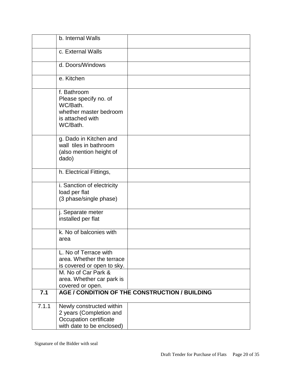|       | b. Internal Walls                                                                                          |
|-------|------------------------------------------------------------------------------------------------------------|
|       | c. External Walls                                                                                          |
|       |                                                                                                            |
|       | d. Doors/Windows                                                                                           |
|       | e. Kitchen                                                                                                 |
|       | f. Bathroom<br>Please specify no. of<br>WC/Bath.<br>whether master bedroom<br>is attached with<br>WC/Bath. |
|       | g. Dado in Kitchen and<br>wall tiles in bathroom<br>(also mention height of<br>dado)                       |
|       | h. Electrical Fittings,                                                                                    |
|       | i. Sanction of electricity<br>load per flat<br>(3 phase/single phase)                                      |
|       | j. Separate meter<br>installed per flat                                                                    |
|       | k. No of balconies with<br>area                                                                            |
|       | L. No of Terrace with<br>area. Whether the terrace<br>is covered or open to sky.                           |
|       | M. No of Car Park &<br>area. Whether car park is<br>covered or open.                                       |
| 7.1   | AGE / CONDITION OF THE CONSTRUCTION / BUILDING                                                             |
| 7.1.1 | Newly constructed within<br>2 years (Completion and<br>Occupation certificate<br>with date to be enclosed) |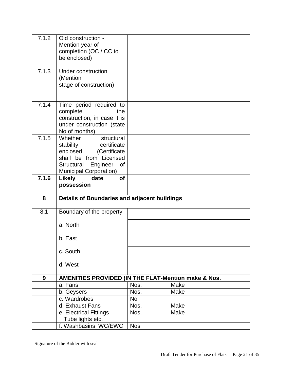| 7.1.2 | Old construction -                                             |            |      |
|-------|----------------------------------------------------------------|------------|------|
|       | Mention year of<br>completion (OC / CC to                      |            |      |
|       | be enclosed)                                                   |            |      |
|       |                                                                |            |      |
| 7.1.3 | <b>Under construction</b>                                      |            |      |
|       | (Mention                                                       |            |      |
|       | stage of construction)                                         |            |      |
|       |                                                                |            |      |
| 7.1.4 | Time period required to                                        |            |      |
|       | complete<br>the                                                |            |      |
|       | construction, in case it is                                    |            |      |
|       | under construction (state                                      |            |      |
| 7.1.5 | No of months)<br>Whether<br>structural                         |            |      |
|       | stability<br>certificate                                       |            |      |
|       | enclosed<br>(Certificate                                       |            |      |
|       | shall be from Licensed                                         |            |      |
|       | Structural Engineer<br>of                                      |            |      |
|       | Municipal Corporation)                                         |            |      |
| 7.1.6 | <b>Likely</b><br>date<br><b>of</b>                             |            |      |
|       | possession                                                     |            |      |
|       |                                                                |            |      |
|       |                                                                |            |      |
| 8     | Details of Boundaries and adjacent buildings                   |            |      |
| 8.1   | Boundary of the property                                       |            |      |
|       |                                                                |            |      |
|       | a. North                                                       |            |      |
|       | b. East                                                        |            |      |
|       |                                                                |            |      |
|       | c. South                                                       |            |      |
|       | d. West                                                        |            |      |
| 9     | <b>AMENITIES PROVIDED (IN THE FLAT-Mention make &amp; Nos.</b> |            |      |
|       | a. Fans                                                        | Nos.       | Make |
|       | b. Geysers                                                     | Nos.       | Make |
|       | c. Wardrobes                                                   | <b>No</b>  |      |
|       | d. Exhaust Fans                                                | Nos.       | Make |
|       | e. Electrical Fittings                                         | Nos.       | Make |
|       | Tube lights etc.<br>f. Washbasins WC/EWC                       | <b>Nos</b> |      |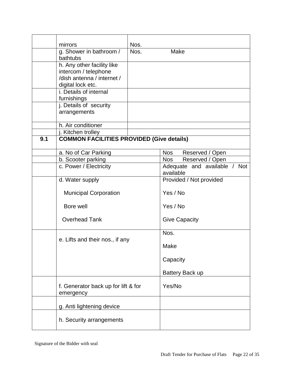|     | mirrors                                          | Nos. |                      |                 |                              |  |
|-----|--------------------------------------------------|------|----------------------|-----------------|------------------------------|--|
|     | g. Shower in bathroom /<br>bathtubs              | Nos. | Make                 |                 |                              |  |
|     | h. Any other facility like                       |      |                      |                 |                              |  |
|     | intercom / telephone                             |      |                      |                 |                              |  |
|     | /dish antenna / internet /                       |      |                      |                 |                              |  |
|     | digital lock etc.<br>i. Details of internal      |      |                      |                 |                              |  |
|     | furnishings                                      |      |                      |                 |                              |  |
|     | j. Details of security                           |      |                      |                 |                              |  |
|     | arrangements                                     |      |                      |                 |                              |  |
|     |                                                  |      |                      |                 |                              |  |
|     | h. Air conditioner                               |      |                      |                 |                              |  |
|     | j. Kitchen trolley                               |      |                      |                 |                              |  |
| 9.1 | <b>COMMON FACILITIES PROVIDED (Give details)</b> |      |                      |                 |                              |  |
|     | a. No of Car Parking                             |      | Nos                  |                 | Reserved / Open              |  |
|     | b. Scooter parking                               |      | Nos                  |                 | Reserved / Open              |  |
|     | c. Power / Electricity                           |      |                      |                 | Adequate and available / Not |  |
|     |                                                  |      | available            |                 |                              |  |
|     | d. Water supply                                  |      |                      |                 | Provided / Not provided      |  |
|     | <b>Municipal Corporation</b>                     |      | Yes / No             |                 |                              |  |
|     | Bore well                                        |      | Yes / No             |                 |                              |  |
|     | <b>Overhead Tank</b>                             |      | <b>Give Capacity</b> |                 |                              |  |
|     | e. Lifts and their nos., if any                  |      | Nos.                 |                 |                              |  |
|     |                                                  |      | Make                 |                 |                              |  |
|     |                                                  |      | Capacity             |                 |                              |  |
|     |                                                  |      |                      | Battery Back up |                              |  |
|     | f. Generator back up for lift & for<br>emergency |      | Yes/No               |                 |                              |  |
|     | g. Anti lightening device                        |      |                      |                 |                              |  |
|     | h. Security arrangements                         |      |                      |                 |                              |  |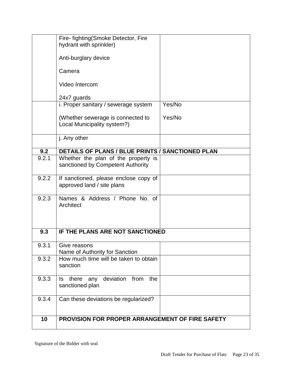|       | Fire- fighting (Smoke Detector, Fire                                     |        |
|-------|--------------------------------------------------------------------------|--------|
|       | hydrant with sprinkler)                                                  |        |
|       | Anti-burglary device                                                     |        |
|       | Camera                                                                   |        |
|       | Video Intercom                                                           |        |
|       | 24x7 guards                                                              |        |
|       | i. Proper sanitary / sewerage system                                     | Yes/No |
|       | (Whether sewerage is connected to<br>Local Municipality system?)         | Yes/No |
|       | j. Any other                                                             |        |
| 9.2   | DETAILS OF PLANS / BLUE PRINTS / SANCTIONED PLAN                         |        |
| 9.2.1 | Whether the plan of the property is<br>sanctioned by Competent Authority |        |
| 9.2.2 | If sanctioned, please enclose copy of<br>approved land / site plans      |        |
| 9.2.3 | Names & Address / Phone No. of<br>Architect                              |        |
| 9.3   | IF THE PLANS ARE NOT SANCTIONED                                          |        |
| 9.3.1 | Give reasons<br>Name of Authority for Sanction                           |        |
| 9.3.2 | How much time will be taken to obtain<br>sanction                        |        |
| 9.3.3 | deviation from<br>the<br>there<br>any<br>Is.<br>sanctioned plan          |        |
| 9.3.4 | Can these deviations be regularized?                                     |        |
| 10    | <b>PROVISION FOR PROPER ARRANGEMENT OF FIRE SAFETY</b>                   |        |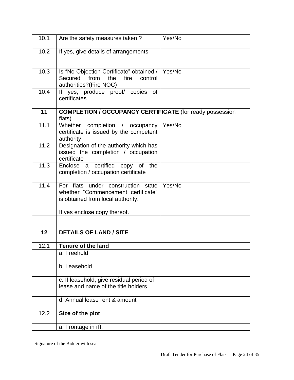| 10.1 | Are the safety measures taken?                                                                                           | Yes/No |
|------|--------------------------------------------------------------------------------------------------------------------------|--------|
| 10.2 | If yes, give details of arrangements                                                                                     |        |
| 10.3 | Is "No Objection Certificate" obtained /   Yes/No<br>Secured<br>from<br>the<br>fire<br>control<br>authorities?(Fire NOC) |        |
| 10.4 | If yes, produce proof/ copies of<br>certificates                                                                         |        |
| 11   | <b>COMPLETION / OCCUPANCY CERTIFICATE (for ready possession</b><br>flats)                                                |        |
| 11.1 | Whether completion / occupancy<br>certificate is issued by the competent<br>authority                                    | Yes/No |
| 11.2 | Designation of the authority which has<br>issued the completion / occupation<br>certificate                              |        |
| 11.3 | Enclose a certified copy of the<br>completion / occupation certificate                                                   |        |
| 11.4 | For flats under construction state<br>whether "Commencement certificate"<br>is obtained from local authority.            | Yes/No |
|      | If yes enclose copy thereof.                                                                                             |        |
| 12   | <b>DETAILS OF LAND / SITE</b>                                                                                            |        |
| 12.1 | <b>Tenure of the land</b>                                                                                                |        |
|      | a. Freehold                                                                                                              |        |
|      | b. Leasehold                                                                                                             |        |
|      | c. If leasehold, give residual period of                                                                                 |        |
|      | lease and name of the title holders                                                                                      |        |
|      | d. Annual lease rent & amount                                                                                            |        |
| 12.2 | Size of the plot                                                                                                         |        |
|      | a. Frontage in rft.                                                                                                      |        |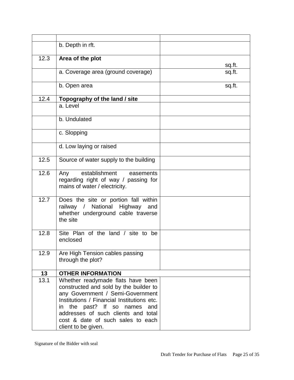|      | b. Depth in rft.                                                                                                                                                                                                                                                                                    |        |
|------|-----------------------------------------------------------------------------------------------------------------------------------------------------------------------------------------------------------------------------------------------------------------------------------------------------|--------|
| 12.3 | Area of the plot                                                                                                                                                                                                                                                                                    |        |
|      |                                                                                                                                                                                                                                                                                                     | sq.ft. |
|      | a. Coverage area (ground coverage)                                                                                                                                                                                                                                                                  | sq.ft. |
|      | b. Open area                                                                                                                                                                                                                                                                                        | sq.ft. |
| 12.4 | Topography of the land / site                                                                                                                                                                                                                                                                       |        |
|      | a. Level                                                                                                                                                                                                                                                                                            |        |
|      | b. Undulated                                                                                                                                                                                                                                                                                        |        |
|      | c. Slopping                                                                                                                                                                                                                                                                                         |        |
|      | d. Low laying or raised                                                                                                                                                                                                                                                                             |        |
| 12.5 | Source of water supply to the building                                                                                                                                                                                                                                                              |        |
| 12.6 | establishment easements<br>Any<br>regarding right of way / passing for<br>mains of water / electricity.                                                                                                                                                                                             |        |
| 12.7 | Does the site or portion fall within<br>railway / National Highway and<br>whether underground cable traverse<br>the site                                                                                                                                                                            |        |
| 12.8 | Site Plan of the land / site to be<br>enclosed                                                                                                                                                                                                                                                      |        |
| 12.9 | Are High Tension cables passing<br>through the plot?                                                                                                                                                                                                                                                |        |
| 13   | <b>OTHER INFORMATION</b>                                                                                                                                                                                                                                                                            |        |
| 13.1 | Whether readymade flats have been<br>constructed and sold by the builder to<br>any Government / Semi-Government<br>Institutions / Financial Institutions etc.<br>in the past? If so names<br>and<br>addresses of such clients and total<br>cost & date of such sales to each<br>client to be given. |        |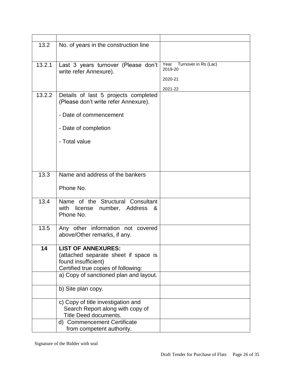| 13.2   | No. of years in the construction line                                                                                                                                     |                                         |
|--------|---------------------------------------------------------------------------------------------------------------------------------------------------------------------------|-----------------------------------------|
|        |                                                                                                                                                                           |                                         |
|        |                                                                                                                                                                           |                                         |
| 13.2.1 | Last 3 years turnover (Please don't<br>write refer Annexure).                                                                                                             | Year<br>Turnover in Rs (Lac)<br>2019-20 |
|        |                                                                                                                                                                           | 2020-21                                 |
|        |                                                                                                                                                                           | 2021-22                                 |
| 13.2.2 | Details of last 5 projects completed<br>(Please don't write refer Annexure).                                                                                              |                                         |
|        | - Date of commencement                                                                                                                                                    |                                         |
|        | - Date of completion                                                                                                                                                      |                                         |
|        | - Total value                                                                                                                                                             |                                         |
|        |                                                                                                                                                                           |                                         |
|        |                                                                                                                                                                           |                                         |
| 13.3   | Name and address of the bankers                                                                                                                                           |                                         |
|        |                                                                                                                                                                           |                                         |
|        | Phone No.                                                                                                                                                                 |                                         |
| 13.4   | Name of the Structural Consultant<br>with<br>license<br>number, Address<br>&<br>Phone No.                                                                                 |                                         |
| 13.5   | Any other information not covered<br>above/Other remarks, if any.                                                                                                         |                                         |
| 14     | <b>LIST OF ANNEXURES:</b><br>(attached separate sheet if space is<br>found insufficient)<br>Certified true copies of following:<br>a) Copy of sanctioned plan and layout. |                                         |
|        | b) Site plan copy.                                                                                                                                                        |                                         |
|        | c) Copy of title investigation and<br>Search Report along with copy of<br>Title Deed documents.                                                                           |                                         |
|        | <b>Commencement Certificate</b><br>d)<br>from competent authority.                                                                                                        |                                         |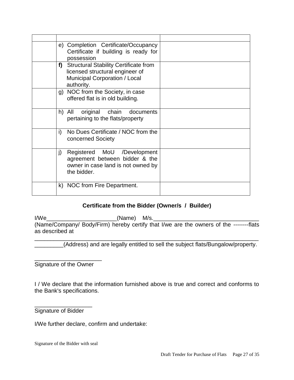|    | e) Completion Certificate/Occupancy<br>Certificate if building is ready for<br>possession                                      |  |
|----|--------------------------------------------------------------------------------------------------------------------------------|--|
| f) | <b>Structural Stability Certificate from</b><br>licensed structural engineer of<br>Municipal Corporation / Local<br>authority. |  |
|    | g) NOC from the Society, in case<br>offered flat is in old building.                                                           |  |
|    | h) All original chain documents<br>pertaining to the flats/property                                                            |  |
| i) | No Dues Certificate / NOC from the<br>concerned Society                                                                        |  |
| j) | Registered MoU /Development<br>agreement between bidder & the<br>owner in case land is not owned by<br>the bidder.             |  |
|    | k) NOC from Fire Department.                                                                                                   |  |

#### **Certificate from the Bidder (Owner/s / Builder)**

I/We\_\_\_\_\_\_\_\_\_\_\_\_\_\_\_\_\_\_\_\_\_\_(Name) M/s.\_\_\_\_\_\_\_\_\_\_\_\_\_\_\_\_\_\_\_\_\_\_\_\_\_\_\_\_\_\_\_\_\_ (Name/Company/ Body/Firm) hereby certify that I/we are the owners of the --------flats as described at

\_\_\_\_\_\_\_\_\_\_\_\_\_\_\_\_\_\_\_\_\_\_\_\_\_\_\_\_\_\_\_\_\_\_\_\_\_\_\_\_\_\_\_\_\_\_\_\_\_\_\_\_\_\_\_\_\_\_\_\_\_\_\_\_\_\_\_\_\_\_ \_\_\_\_\_\_\_\_\_(Address) and are legally entitled to sell the subject flats/Bungalow/property.

Signature of the Owner

\_\_\_\_\_\_\_\_\_\_\_\_\_\_\_\_\_\_\_\_\_

I / We declare that the information furnished above is true and correct and conforms to the Bank's specifications.

Signature of Bidder

\_\_\_\_\_\_\_\_\_\_\_\_\_\_\_\_\_\_

I/We further declare, confirm and undertake: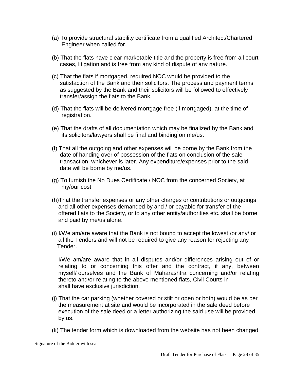- (a) To provide structural stability certificate from a qualified Architect/Chartered Engineer when called for.
- (b) That the flats have clear marketable title and the property is free from all court cases, litigation and is free from any kind of dispute of any nature.
- (c) That the flats if mortgaged, required NOC would be provided to the satisfaction of the Bank and their solicitors. The process and payment terms as suggested by the Bank and their solicitors will be followed to effectively transfer/assign the flats to the Bank.
- (d) That the flats will be delivered mortgage free (if mortgaged), at the time of registration.
- (e) That the drafts of all documentation which may be finalized by the Bank and its solicitors/lawyers shall be final and binding on me/us.
- (f) That all the outgoing and other expenses will be borne by the Bank from the date of handing over of possession of the flats on conclusion of the sale transaction, whichever is later. Any expenditure/expenses prior to the said date will be borne by me/us.
- (g) To furnish the No Dues Certificate / NOC from the concerned Society, at my/our cost.
- (h)That the transfer expenses or any other charges or contributions or outgoings and all other expenses demanded by and / or payable for transfer of the offered flats to the Society, or to any other entity/authorities etc. shall be borne and paid by me/us alone.
- (i) I/We am/are aware that the Bank is not bound to accept the lowest /or any/ or all the Tenders and will not be required to give any reason for rejecting any Tender.

I/We am/are aware that in all disputes and/or differences arising out of or relating to or concerning this offer and the contract, if any, between myself/ ourselves and the Bank of Maharashtra concerning and/or relating thereto and/or relating to the above mentioned flats, Civil Courts in -------------- shall have exclusive jurisdiction.

- (j) That the car parking (whether covered or stilt or open or both) would be as per the measurement at site and would be incorporated in the sale deed before execution of the sale deed or a letter authorizing the said use will be provided by us.
- (k) The tender form which is downloaded from the website has not been changed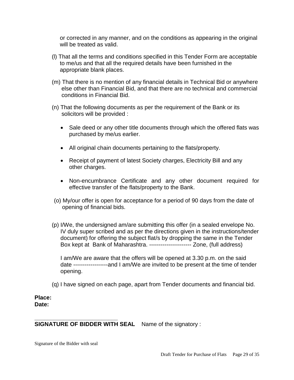or corrected in any manner, and on the conditions as appearing in the original will be treated as valid.

- (l) That all the terms and conditions specified in this Tender Form are acceptable to me/us and that all the required details have been furnished in the appropriate blank places.
- (m) That there is no mention of any financial details in Technical Bid or anywhere else other than Financial Bid, and that there are no technical and commercial conditions in Financial Bid.
- (n) That the following documents as per the requirement of the Bank or its solicitors will be provided :
	- Sale deed or any other title documents through which the offered flats was purchased by me/us earlier.
	- All original chain documents pertaining to the flats/property.
	- Receipt of payment of latest Society charges, Electricity Bill and any other charges.
	- Non-encumbrance Certificate and any other document required for effective transfer of the flats/property to the Bank.
- (o) My/our offer is open for acceptance for a period of 90 days from the date of opening of financial bids.
- (p) I/We, the undersigned am/are submitting this offer (in a sealed envelope No. IV duly super scribed and as per the directions given in the instructions/tender document) for offering the subject flat/s by dropping the same in the Tender Box kept at Bank of Maharashtra. ---------------------- Zone, (full address)

I am/We are aware that the offers will be opened at 3.30 p.m. on the said date ------------------and I am/We are invited to be present at the time of tender opening.

(q) I have signed on each page, apart from Tender documents and financial bid.

**Place: Date:** 

#### **SIGNATURE OF BIDDER WITH SEAL** Name of the signatory :

Signature of the Bidder with seal

**\_\_\_\_\_\_\_\_\_\_\_\_\_\_\_\_\_\_\_\_\_\_\_\_\_\_**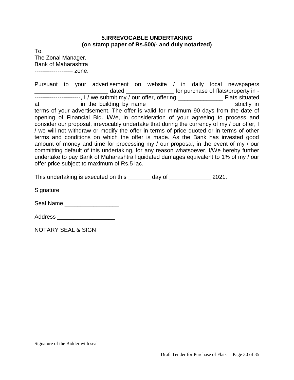#### **5.IRREVOCABLE UNDERTAKING (on stamp paper of Rs.500/- and duly notarized)**

To, The Zonal Manager, Bank of Maharashtra -------------------- zone.

Pursuant to your advertisement on website / in daily local newspapers \_\_\_\_\_\_\_\_\_\_\_\_\_\_\_\_\_\_\_\_\_\_\_ dated \_\_\_\_\_\_\_\_\_\_\_\_\_\_\_ for purchase of flats/property in - ------------------------, I / we submit my / our offer, offering \_\_\_\_\_\_\_\_\_\_\_\_\_\_ Flats situated at \_\_\_\_\_\_\_\_\_\_\_ in the building by name \_\_\_\_\_\_\_\_\_\_\_\_\_\_\_\_\_\_\_\_\_\_\_\_\_\_ strictly in terms of your advertisement. The offer is valid for minimum 90 days from the date of opening of Financial Bid. I/We, in consideration of your agreeing to process and consider our proposal, irrevocably undertake that during the currency of my / our offer, I / we will not withdraw or modify the offer in terms of price quoted or in terms of other terms and conditions on which the offer is made. As the Bank has invested good amount of money and time for processing my / our proposal, in the event of my / our committing default of this undertaking, for any reason whatsoever, I/We hereby further undertake to pay Bank of Maharashtra liquidated damages equivalent to 1% of my / our offer price subject to maximum of Rs.5 lac.

This undertaking is executed on this \_\_\_\_\_\_\_\_\_\_ day of \_\_\_\_\_\_\_\_\_\_ 2021.

Signature \_\_\_\_\_\_\_\_\_\_\_\_\_\_\_\_

Seal Name

Address \_\_\_\_\_\_\_\_\_\_\_\_\_\_\_\_\_\_

NOTARY SEAL & SIGN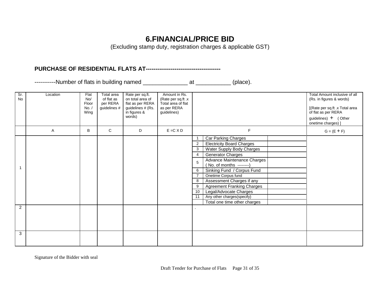#### **6.FINANCIAL/PRICE BID**

(Excluding stamp duty, registration charges & applicable GST)

**PURCHASE OF RESIDENTIAL FLATS AT---------------------------------------**

-----------Number of flats in building named \_\_\_\_\_\_\_\_\_\_\_\_\_\_ at \_\_\_\_\_\_\_\_\_\_\_ (place).

| Sr.<br><b>No</b> | Location | Flat<br>No/<br>Floor<br>No. /<br>Wing | Total area<br>of flat as<br>per RERA<br>guidelines # | Rate per sq.ft.<br>on total area of<br>flat as per RERA<br>guidelines # (Rs.<br>in figures &<br>words) | Amount in Rs.<br>(Rate per sq.ft .x<br>Total area of flat<br>as per RERA<br>guidelines) |                                                                                                                                                                                                                                                                                                                                                                                                                                                                       | Total Amount inclusive of all<br>(Rs. in figures & words)<br>[(Rate per sq.ft .x Total area<br>of flat as per RERA<br>guidelines) $+$ (Other<br>onetime charges) ] |
|------------------|----------|---------------------------------------|------------------------------------------------------|--------------------------------------------------------------------------------------------------------|-----------------------------------------------------------------------------------------|-----------------------------------------------------------------------------------------------------------------------------------------------------------------------------------------------------------------------------------------------------------------------------------------------------------------------------------------------------------------------------------------------------------------------------------------------------------------------|--------------------------------------------------------------------------------------------------------------------------------------------------------------------|
|                  | A        | В                                     | C                                                    | D                                                                                                      | $E = C \times D$                                                                        | F                                                                                                                                                                                                                                                                                                                                                                                                                                                                     | $G = (E + F)$                                                                                                                                                      |
| 1                |          |                                       |                                                      |                                                                                                        |                                                                                         | Car Parking Charges<br>$\mathbf 1$<br><b>Electricity Board Charges</b><br>$\overline{2}$<br>Water Supply Body Charges<br>3<br><b>Generator Charges</b><br>4<br>Advance Maintenance Charges<br>5<br>(No. of months --------)<br>Sinking Fund / Corpus Fund<br>6<br>Onetime Corpus fund<br>Assessment Charges if any<br>8<br><b>Agreement Franking Charges</b><br>9<br>Legal/Advocate Charges<br>10<br>Any other charges(specify)<br>11<br>Total one time other charges |                                                                                                                                                                    |
| 2                |          |                                       |                                                      |                                                                                                        |                                                                                         |                                                                                                                                                                                                                                                                                                                                                                                                                                                                       |                                                                                                                                                                    |
| 3                |          |                                       |                                                      |                                                                                                        |                                                                                         |                                                                                                                                                                                                                                                                                                                                                                                                                                                                       |                                                                                                                                                                    |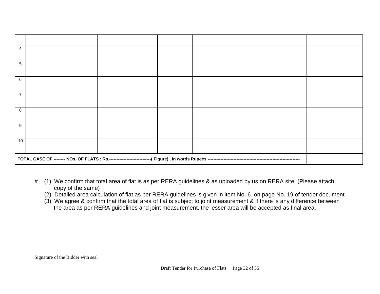| 4  |  |  |  |  |  |  |  |
|----|--|--|--|--|--|--|--|
| 5  |  |  |  |  |  |  |  |
| 6  |  |  |  |  |  |  |  |
| 7  |  |  |  |  |  |  |  |
| 8  |  |  |  |  |  |  |  |
| 9  |  |  |  |  |  |  |  |
| 10 |  |  |  |  |  |  |  |
|    |  |  |  |  |  |  |  |

- # (1) We confirm that total area of flat is as per RERA guidelines & as uploaded by us on RERA site. (Please attach copy of the same)
	- (2) Detailed area calculation of flat as per RERA guidelines is given in item No. 6 on page No. 19 of tender document.
	- (3) We agree & confirm that the total area of flat is subject to joint measurement & if there is any difference between the area as per RERA guidelines and joint measurement, the lesser area will be accepted as final area.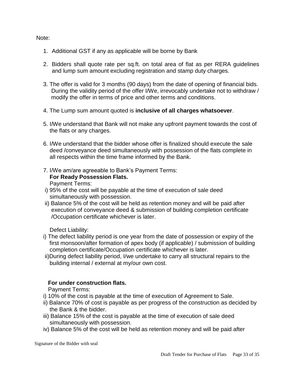#### Note:

- 1. Additional GST if any as applicable will be borne by Bank
- 2. Bidders shall quote rate per sq.ft. on total area of flat as per RERA guidelines and lump sum amount excluding registration and stamp duty charges.
- 3. The offer is valid for 3 months (90 days) from the date of opening of financial bids. During the validity period of the offer I/We, irrevocably undertake not to withdraw / modify the offer in terms of price and other terms and conditions.
- 4. The Lump sum amount quoted is **inclusive of all charges whatsoever**.
- 5. I/We understand that Bank will not make any upfront payment towards the cost of the flats or any charges.
- 6. I/We understand that the bidder whose offer is finalized should execute the sale deed /conveyance deed simultaneously with possession of the flats complete in all respects within the time frame informed by the Bank.
- 7. I/We am/are agreeable to Bank's Payment Terms:  **For Ready Possession Flats.**

Payment Terms:

- i) 95% of the cost will be payable at the time of execution of sale deed simultaneously with possession.
- ii) Balance 5% of the cost will be held as retention money and will be paid after execution of conveyance deed & submission of building completion certificate /Occupation certificate whichever is later.

Defect Liability:

- i) The defect liability period is one year from the date of possession or expiry of the first monsoon/after formation of apex body (if applicable) / submission of building completion certificate/Occupation certificate whichever is later.
- ii)During defect liability period, I/we undertake to carry all structural repairs to the building internal / external at my/our own cost.

#### **For under construction flats.**

Payment Terms:

- i) 10% of the cost is payable at the time of execution of Agreement to Sale.
- ii) Balance 70% of cost is payable as per progress of the construction as decided by the Bank & the bidder.
- iii) Balance 15% of the cost is payable at the time of execution of sale deed simultaneously with possession.
- iv) Balance 5% of the cost will be held as retention money and will be paid after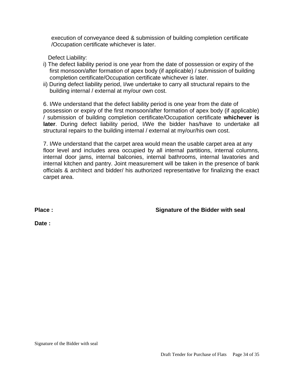execution of conveyance deed & submission of building completion certificate /Occupation certificate whichever is later.

Defect Liability:

- i) The defect liability period is one year from the date of possession or expiry of the first monsoon/after formation of apex body (if applicable) / submission of building completion certificate/Occupation certificate whichever is later.
- ii) During defect liability period, I/we undertake to carry all structural repairs to the building internal / external at my/our own cost.

6. I/We understand that the defect liability period is one year from the date of possession or expiry of the first monsoon/after formation of apex body (if applicable) / submission of building completion certificate/Occupation certificate **whichever is later**. During defect liability period, I/We the bidder has/have to undertake all structural repairs to the building internal / external at my/our/his own cost.

7. I/We understand that the carpet area would mean the usable carpet area at any floor level and includes area occupied by all internal partitions, internal columns, internal door jams, internal balconies, internal bathrooms, internal lavatories and internal kitchen and pantry. Joint measurement will be taken in the presence of bank officials & architect and bidder/ his authorized representative for finalizing the exact carpet area.

**Place : Signature of the Bidder with seal** 

**Date :**